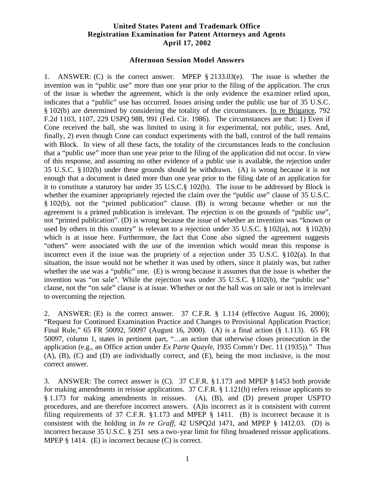## **United States Patent and Trademark Office Registration Examination for Patent Attorneys and Agents April 17, 2002**

## **Afternoon Session Model Answers**

1. ANSWER: (C) is the correct answer. MPEP § 2133.03(e). The issue is whether the invention was in "public use" more than one year prior to the filing of the application. The crux of the issue is whether the agreement, which is the only evidence the examiner relied upon, indicates that a "public" use has occurred. Issues arising under the public use bar of 35 U.S.C. § 102(b) are determined by considering the totality of the circumstances. In re Brigance, 792 F.2d 1103, 1107, 229 USPQ 988, 991 (Fed. Cir. 1986). The circumstances are that: 1) Even if Cone received the ball, she was limited to using it for experimental, not public, uses. And, finally, 2) even though Cone can conduct experiments with the ball, control of the ball remains with Block. In view of all these facts, the totality of the circumstances leads to the conclusion that a "public use" more than one year prior to the filing of the application did not occur. In view of this response, and assuming no other evidence of a public use is available, the rejection under 35 U.S.C. § 102(b) under these grounds should be withdrawn. (A) is wrong because it is not enough that a document is dated more than one year prior to the filing date of an application for it to constitute a statutory bar under 35 U.S.C.§ 102(b). The issue to be addressed by Block is whether the examiner appropriately rejected the claim over the "public use" clause of 35 U.S.C. § 102(b), not the "printed publication" clause. (B) is wrong because whether or not the agreement is a printed publication is irrelevant. The rejection is on the grounds of "public use", not "printed publication". (D) is wrong because the issue of whether an invention was "known or used by others in this country" is relevant to a rejection under 35 U.S.C. § 102(a), not § 102(b) which is at issue here. Furthermore, the fact that Cone also signed the agreement suggests "others" were associated with the use of the invention which would mean this response is incorrect even if the issue was the propriety of a rejection under 35 U.S.C. §102(a). In that situation, the issue would not be whether it was used by others, since it plainly was, but rather whether the use was a "public" one. (E) is wrong because it assumes that the issue is whether the invention was "on sale". While the rejection was under 35 U.S.C. § 102(b), the "public use" clause, not the "on sale" clause is at issue. Whether or not the ball was on sale or not is irrelevant to overcoming the rejection.

2. ANSWER: (E) is the correct answer. 37 C.F.R. § 1.114 (effective August 16, 2000); "Request for Continued Examination Practice and Changes to Provisional Application Practice; Final Rule," 65 FR 50092, 50097 (August 16, 2000). (A) is a final action (§ 1.113). 65 FR 50097, column 1, states in pertinent part, "…an action that otherwise closes prosecution in the application (e.g., an Office action under *Ex Parte Quayle*, 1935 Comm'r Dec. 11 (1935))." Thus (A), (B), (C) and (D) are individually correct, and (E), being the most inclusive, is the most correct answer.

3. ANSWER: The correct answer is (C). 37 C.F.R. §1.173 and MPEP § 1453 both provide for making amendments in reissue applications. 37 C.F.R. § 1.121(h) refers reissue applicants to § 1.173 for making amendments in reissues. (A), (B), and (D) present proper USPTO procedures, and are therefore incorrect answers. (A)is incorrect as it is consistent with current filing requirements of 37 C.F.R. §1.173 and MPEP § 1411. (B) is incorrect because it is consistent with the holding in *In re Graff*, 42 USPQ2d 1471, and MPEP § 1412.03. (D) is incorrect because 35 U.S.C. § 251 sets a two-year limit for filing broadened reissue applications. MPEP § 1414. (E) is incorrect because (C) is correct.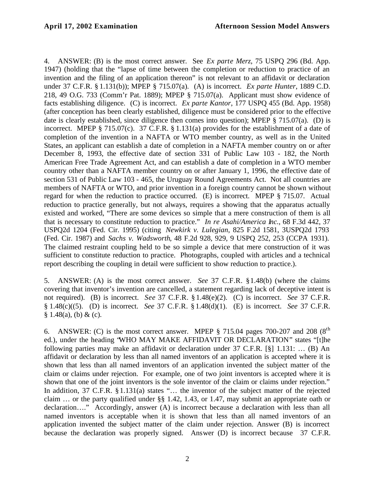4. ANSWER: (B) is the most correct answer. See *Ex parte Merz*, 75 USPQ 296 (Bd. App. 1947) (holding that the "lapse of time between the completion or reduction to practice of an invention and the filing of an application thereon" is not relevant to an affidavit or declaration under 37 C.F.R. § 1.131(b)); MPEP § 715.07(a). (A) is incorrect. *Ex parte Hunter*, 1889 C.D. 218, 49 O.G. 733 (Comm'r Pat. 1889); MPEP § 715.07(a). Applicant must show evidence of facts establishing diligence. (C) is incorrect. *Ex parte Kantor*, 177 USPQ 455 (Bd. App. 1958) (after conception has been clearly established, diligence must be considered prior to the effective date is clearly established, since diligence then comes into question); MPEP § 715.07(a). (D) is incorrect. MPEP § 715.07(c). 37 C.F.R. § 1.131(a) provides for the establishment of a date of completion of the invention in a NAFTA or WTO member country, as well as in the United States, an applicant can establish a date of completion in a NAFTA member country on or after December 8, 1993, the effective date of section 331 of Public Law 103 - 182, the North American Free Trade Agreement Act, and can establish a date of completion in a WTO member country other than a NAFTA member country on or after January 1, 1996, the effective date of section 531 of Public Law 103 - 465, the Uruguay Round Agreements Act. Not all countries are members of NAFTA or WTO, and prior invention in a foreign country cannot be shown without regard for when the reduction to practice occurred. (E) is incorrect. MPEP § 715.07. Actual reduction to practice generally, but not always, requires a showing that the apparatus actually existed and worked, "There are some devices so simple that a mere construction of them is all that is necessary to constitute reduction to practice." *In re Asahi/America Inc.*, 68 F.3d 442, 37 USPQ2d 1204 (Fed. Cir. 1995) (citing *Newkirk v. Lulegian*, 825 F.2d 1581, 3USPQ2d 1793 (Fed. Cir. 1987) and *Sachs v. Wadsworth*, 48 F.2d 928, 929, 9 USPQ 252, 253 (CCPA 1931). The claimed restraint coupling held to be so simple a device that mere construction of it was sufficient to constitute reduction to practice. Photographs, coupled with articles and a technical report describing the coupling in detail were sufficient to show reduction to practice.).

5. ANSWER: (A) is the most correct answer. *See* 37 C.F.R. §1.48(b) (where the claims covering that inventor's invention are cancelled, a statement regarding lack of deceptive intent is not required). (B) is incorrect. *See* 37 C.F.R. § 1.48(e)(2). (C) is incorrect. *See* 37 C.F.R. § 1.48(c)((5). (D) is incorrect. *See* 37 C.F.R. § 1.48(d)(1). (E) is incorrect. *See* 37 C.F.R.  $§ 1.48(a), (b) \& (c).$ 

6. ANSWER: (C) is the most correct answer. MPEP  $\S$  715.04 pages 700-207 and 208 ( $8<sup>th</sup>$ ) ed.), under the heading "WHO MAY MAKE AFFIDAVIT OR DECLARATION" states "[t]he following parties may make an affidavit or declaration under 37 C.F.R. [§] 1.131: … (B) An affidavit or declaration by less than all named inventors of an application is accepted where it is shown that less than all named inventors of an application invented the subject matter of the claim or claims under rejection. For example, one of two joint inventors is accepted where it is shown that one of the joint inventors is the sole inventor of the claim or claims under rejection." In addition, 37 C.F.R. § 1.131(a) states "... the inventor of the subject matter of the rejected claim … or the party qualified under §§ 1.42, 1.43, or 1.47, may submit an appropriate oath or declaration…." Accordingly, answer (A) is incorrect because a declaration with less than all named inventors is acceptable when it is shown that less than all named inventors of an application invented the subject matter of the claim under rejection. Answer (B) is incorrect because the declaration was properly signed. Answer (D) is incorrect because 37 C.F.R.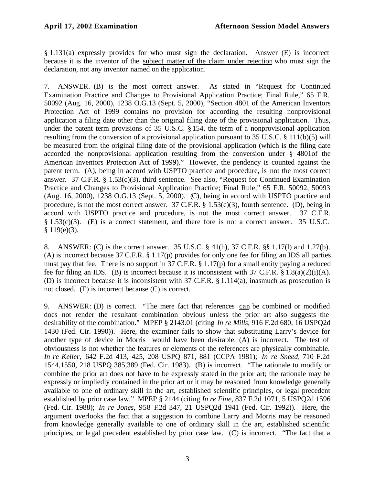§ 1.131(a) expressly provides for who must sign the declaration. Answer (E) is incorrect because it is the inventor of the subject matter of the claim under rejection who must sign the declaration, not any inventor named on the application.

7. ANSWER. (B) is the most correct answer. As stated in "Request for Continued Examination Practice and Changes to Provisional Application Practice; Final Rule," 65 F.R. 50092 (Aug. 16, 2000), 1238 O.G.13 (Sept. 5, 2000), "Section 4801 of the American Inventors Protection Act of 1999 contains no provision for according the resulting nonprovisional application a filing date other than the original filing date of the provisional application. Thus, under the patent term provisions of 35 U.S.C. § 154, the term of a nonprovisional application resulting from the conversion of a provisional application pursuant to 35 U.S.C. § 111(b)(5) will be measured from the original filing date of the provisional application (which is the filing date accorded the nonprovisional application resulting from the conversion under § 4801of the American Inventors Protection Act of 1999)." However, the pendency is counted against the patent term. (A), being in accord with USPTO practice and procedure, is not the most correct answer. 37 C.F.R. § 1.53(c)(3), third sentence. See also, "Request for Continued Examination Practice and Changes to Provisional Application Practice; Final Rule," 65 F.R. 50092, 50093 (Aug. 16, 2000), 1238 O.G.13 (Sept. 5, 2000). (C), being in accord with USPTO practice and procedure, is not the most correct answer. 37 C.F.R. § 1.53(c)(3), fourth sentence. (D), being in accord with USPTO practice and procedure, is not the most correct answer. 37 C.F.R. § 1.53(c)(3). (E) is a correct statement, and there fore is not a correct answer. 35 U.S.C.  $$119(e)(3).$ 

8. ANSWER: (C) is the correct answer. 35 U.S.C. § 41(h), 37 C.F.R. §§ 1.17(l) and 1.27(b). (A) is incorrect because 37 C.F.R. § 1.17(p) provides for only one fee for filing an IDS all parties must pay that fee. There is no support in 37 C.F.R. § 1.17(p) for a small entity paying a reduced fee for filing an IDS. (B) is incorrect because it is inconsistent with 37 C.F.R.  $\S 1.8(a)(2)(i)(A)$ . (D) is incorrect because it is inconsistent with 37 C.F.R. § 1.114(a), inasmuch as prosecution is not closed. (E) is incorrect because (C) is correct.

9. ANSWER: (D) is correct. "The mere fact that references can be combined or modified does not render the resultant combination obvious unless the prior art also suggests the desirability of the combination." MPEP § 2143.01 (citing *In re Mills*, 916 F.2d 680, 16 USPQ2d 1430 (Fed. Cir. 1990)). Here, the examiner fails to show that substituting Larry's device for another type of device in Morris would have been desirable. (A) is incorrect. The test of obviousness is not whether the features or elements of the references are physically combinable. *In re Keller,* 642 F.2d 413, 425, 208 USPQ 871, 881 (CCPA 1981); *In re Sneed,* 710 F.2d 1544,1550, 218 USPQ 385,389 (Fed. Cir. 1983). (B) is incorrect. "The rationale to modify or combine the prior art does not have to be expressly stated in the prior art; the rationale may be expressly or impliedly contained in the prior art or it may be reasoned from knowledge generally available to one of ordinary skill in the art, established scientific principles, or legal precedent established by prior case law." MPEP § 2144 (citing *In re Fine*, 837 F.2d 1071, 5 USPQ2d 1596 (Fed. Cir. 1988); *In re Jones*, 958 F.2d 347, 21 USPQ2d 1941 (Fed. Cir. 1992)). Here, the argument overlooks the fact that a suggestion to combine Larry and Morris may be reasoned from knowledge generally available to one of ordinary skill in the art, established scientific principles, or legal precedent established by prior case law. (C) is incorrect. "The fact that a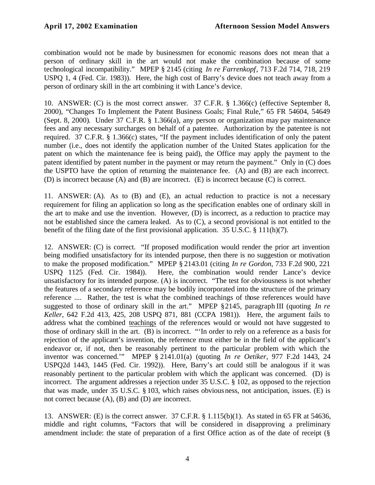combination would not be made by businessmen for economic reasons does not mean that a person of ordinary skill in the art would not make the combination because of some technological incompatibility." MPEP § 2145 (citing *In re Farrenkopf*, 713 F.2d 714, 718, 219 USPQ 1, 4 (Fed. Cir. 1983)). Here, the high cost of Barry's device does not teach away from a person of ordinary skill in the art combining it with Lance's device.

10. ANSWER: (C) is the most correct answer. 37 C.F.R. § 1.366(c) (effective September 8, 2000), "Changes To Implement the Patent Business Goals; Final Rule," 65 FR 54604, 54649 (Sept. 8, 2000). Under 37 C.F.R. § 1.366(a), any person or organization may pay maintenance fees and any necessary surcharges on behalf of a patentee. Authorization by the patentee is not required. 37 C.F.R. § 1.366(c) states, "If the payment includes identification of only the patent number (i.e., does not identify the application number of the United States application for the patent on which the maintenance fee is being paid), the Office may apply the payment to the patent identified by patent number in the payment or may return the payment." Only in (C) does the USPTO have the option of returning the maintenance fee. (A) and (B) are each incorrect. (D) is incorrect because (A) and (B) are incorrect. (E) is incorrect because (C) is correct.

11. ANSWER: (A). As to (B) and (E), an actual reduction to practice is not a necessary requirement for filing an application so long as the specification enables one of ordinary skill in the art to make and use the invention. However, (D) is incorrect, as a reduction to practice may not be established since the camera leaked. As to (C), a second provisional is not entitled to the benefit of the filing date of the first provisional application. 35 U.S.C. § 111(h)(7).

12. ANSWER: (C) is correct. "If proposed modification would render the prior art invention being modified unsatisfactory for its intended purpose, then there is no suggestion or motivation to make the proposed modification." MPEP § 2143.01 (citing *In re Gordon*, 733 F.2d 900, 221 USPQ 1125 (Fed. Cir. 1984)). Here, the combination would render Lance's device unsatisfactory for its intended purpose. (A) is incorrect. "The test for obviousness is not whether the features of a secondary reference may be bodily incorporated into the structure of the primary reference .... Rather, the test is what the combined teachings of those references would have suggested to those of ordinary skill in the art." MPEP §2145, paragraph III (quoting *In re Keller*, 642 F.2d 413, 425, 208 USPQ 871, 881 (CCPA 1981)). Here, the argument fails to address what the combined teachings of the references would or would not have suggested to those of ordinary skill in the art. (B) is incorrect. "'In order to rely on a reference as a basis for rejection of the applicant's invention, the reference must either be in the field of the applicant's endeavor or, if not, then be reasonably pertinent to the particular problem with which the inventor was concerned.'" MPEP § 2141.01(a) (quoting *In re Oetiker*, 977 F.2d 1443, 24 USPQ2d 1443, 1445 (Fed. Cir. 1992)). Here, Barry's art could still be analogous if it was reasonably pertinent to the particular problem with which the applicant was concerned. (D) is incorrect. The argument addresses a rejection under 35 U.S.C. § 102, as opposed to the rejection that was made, under 35 U.S.C. § 103, which raises obviousness, not anticipation, issues. (E) is not correct because (A), (B) and (D) are incorrect.

13. ANSWER: (E) is the correct answer. 37 C.F.R. § 1.115(b)(1). As stated in 65 FR at 54636, middle and right columns, "Factors that will be considered in disapproving a preliminary amendment include: the state of preparation of a first Office action as of the date of receipt (§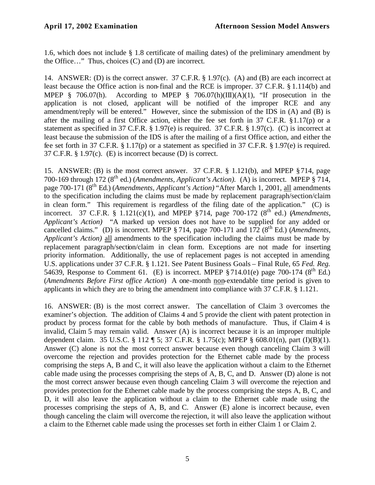1.6, which does not include § 1.8 certificate of mailing dates) of the preliminary amendment by the Office…" Thus, choices (C) and (D) are incorrect.

14. ANSWER: (D) is the correct answer. 37 C.F.R. § 1.97(c). (A) and (B) are each incorrect at least because the Office action is non-final and the RCE is improper. 37 C.F.R. § 1.114(b) and MPEP § 706.07(h). According to MPEP § 706.07(h)(III)(A)(1), "If prosecution in the application is not closed, applicant will be notified of the improper RCE and any amendment/reply will be entered." However, since the submission of the IDS in (A) and (B) is after the mailing of a first Office action, either the fee set forth in  $37$  C.F.R.  $\S 1.17(p)$  or a statement as specified in 37 C.F.R. § 1.97(e) is required. 37 C.F.R. § 1.97(c). (C) is incorrect at least because the submission of the IDS is after the mailing of a first Office action, and either the fee set forth in 37 C.F.R. § 1.17(p) or a statement as specified in 37 C.F.R. § 1.97(e) is required. 37 C.F.R. § 1.97(c). (E) is incorrect because (D) is correct.

15. ANSWER: (B) is the most correct answer. 37 C.F.R. § 1.121(b), and MPEP §714, page 700-169 through 172 (8th ed.) (*Amendments, Applicant's Action).* (A) is incorrect. MPEP § 714, page 700-171 (8<sup>th</sup> Ed.) (*Amendments, Applicant's Action*) "After March 1, 2001, all amendments to the specification including the claims must be made by replacement paragraph/section/claim in clean form." This requirement is regardless of the filing date of the application." (C) is incorrect. 37 C.F.R.  $\S$  1.121(c)(1), and MPEP  $\S 714$ , page 700-172 ( $8<sup>th</sup>$  ed.) (*Amendments*, *Applicant's Action)* "A marked up version does not have to be supplied for any added or cancelled claims." (D) is incorrect. MPEP § 714, page 700-171 and 172 (8<sup>th</sup> Ed.) (*Amendments*, *Applicant's Action)* all amendments to the specification including the claims must be made by replacement paragraph/section/claim in clean form. Exceptions are not made for inserting priority information. Additionally, the use of replacement pages is not accepted in amending U.S. applications under 37 C.F.R. § 1.121. See Patent Business Goals – Final Rule, 65 *Fed. Reg.* 54639, Response to Comment 61. (E) is incorrect. MPEP  $\S 714.01(e)$  page 700-174 ( $8<sup>th</sup>$  Ed.) (*Amendments Before First office Action*) A one-month non-extendable time period is given to applicants in which they are to bring the amendment into compliance with 37 C.F.R. § 1.121.

16. ANSWER: (B) is the most correct answer. The cancellation of Claim 3 overcomes the examiner's objection. The addition of Claims 4 and 5 provide the client with patent protection in product by process format for the cable by both methods of manufacture. Thus, if Claim 4 is invalid, Claim 5 may remain valid. Answer (A) is incorrect because it is an improper multiple dependent claim. 35 U.S.C. § 112 ¶ 5; 37 C.F.R. § 1.75(c); MPEP § 608.01(n), part (I)(B)(1). Answer (C) alone is not the most correct answer because even though canceling Claim 3 will overcome the rejection and provides protection for the Ethernet cable made by the process comprising the steps A, B and C, it will also leave the application without a claim to the Ethernet cable made using the processes comprising the steps of A, B, C, and D. Answer (D) alone is not the most correct answer because even though canceling Claim 3 will overcome the rejection and provides protection for the Ethernet cable made by the process comprising the steps A, B, C, and D, it will also leave the application without a claim to the Ethernet cable made using the processes comprising the steps of A, B, and C. Answer (E) alone is incorrect because, even though canceling the claim will overcome the rejection, it will also leave the application without a claim to the Ethernet cable made using the processes set forth in either Claim 1 or Claim 2.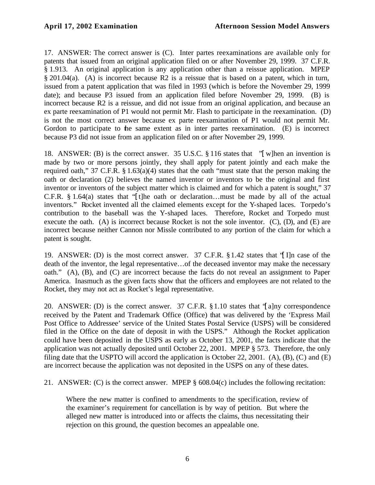17. ANSWER: The correct answer is (C). Inter partes reexaminations are available only for patents that issued from an original application filed on or after November 29, 1999. 37 C.F.R. § 1.913. An original application is any application other than a reissue application. MPEP § 201.04(a). (A) is incorrect because R2 is a reissue that is based on a patent, which in turn, issued from a patent application that was filed in 1993 (which is before the November 29, 1999 date); and because P3 issued from an application filed before November 29, 1999. (B) is incorrect because R2 is a reissue, and did not issue from an original application, and because an ex parte reexamination of P1 would not permit Mr. Flash to participate in the reexamination. (D) is not the most correct answer because ex parte reexamination of P1 would not permit Mr. Gordon to participate to the same extent as in inter partes reexamination. (E) is incorrect because P3 did not issue from an application filed on or after November 29, 1999.

18. ANSWER: (B) is the correct answer. 35 U.S.C. § 116 states that "[w]hen an invention is made by two or more persons jointly, they shall apply for patent jointly and each make the required oath," 37 C.F.R. § 1.63(a)(4) states that the oath "must state that the person making the oath or declaration (2) believes the named inventor or inventors to be the original and first inventor or inventors of the subject matter which is claimed and for which a patent is sought," 37 C.F.R.  $§$  1.64(a) states that "[t]he oath or declaration...must be made by all of the actual inventors." Rocket invented all the claimed elements except for the Y-shaped laces. Torpedo's contribution to the baseball was the Y-shaped laces. Therefore, Rocket and Torpedo must execute the oath. (A) is incorrect because Rocket is not the sole inventor. (C), (D), and (E) are incorrect because neither Cannon nor Missle contributed to any portion of the claim for which a patent is sought.

19. ANSWER: (D) is the most correct answer. 37 C.F.R. §1.42 states that "[I]n case of the death of the inventor, the legal representative…of the deceased inventor may make the necessary oath." (A), (B), and (C) are incorrect because the facts do not reveal an assignment to Paper America. Inasmuch as the given facts show that the officers and employees are not related to the Rocket, they may not act as Rocket's legal representative.

20. ANSWER: (D) is the correct answer. 37 C.F.R. §1.10 states that "[a]ny correspondence received by the Patent and Trademark Office (Office) that was delivered by the 'Express Mail Post Office to Addressee' service of the United States Postal Service (USPS) will be considered filed in the Office on the date of deposit in with the USPS." Although the Rocket application could have been deposited in the USPS as early as October 13, 2001, the facts indicate that the application was not actually deposited until October 22, 2001. MPEP § 573. Therefore, the only filing date that the USPTO will accord the application is October 22, 2001. (A), (B), (C) and (E) are incorrect because the application was not deposited in the USPS on any of these dates.

21. ANSWER: (C) is the correct answer. MPEP § 608.04(c) includes the following recitation:

Where the new matter is confined to amendments to the specification, review of the examiner's requirement for cancellation is by way of petition. But where the alleged new matter is introduced into or affects the claims, thus necessitating their rejection on this ground, the question becomes an appealable one.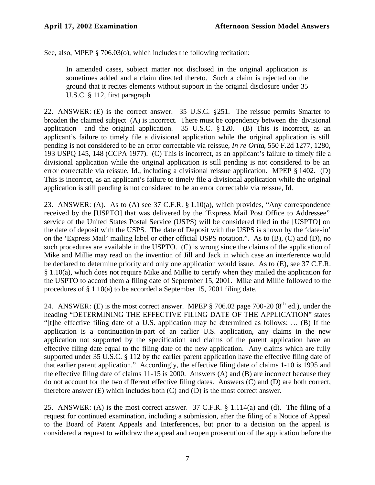See, also, MPEP § 706.03(o), which includes the following recitation:

In amended cases, subject matter not disclosed in the original application is sometimes added and a claim directed thereto. Such a claim is rejected on the ground that it recites elements without support in the original disclosure under 35 U.S.C. § 112, first paragraph.

22. ANSWER: (E) is the correct answer. 35 U.S.C. §251. The reissue permits Smarter to broaden the claimed subject (A) is incorrect. There must be copendency between the divisional application and the original application. 35 U.S.C. § 120. (B) This is incorrect, as an applicant's failure to timely file a divisional application while the original application is still pending is not considered to be an error correctable via reissue, *In re Orita*, 550 F.2d 1277, 1280, 193 USPQ 145, 148 (CCPA 1977). (C) This is incorrect, as an applicant's failure to timely file a divisional application while the original application is still pending is not considered to be an error correctable via reissue, Id., including a divisional reissue application. MPEP § 1402. (D) This is incorrect, as an applicant's failure to timely file a divisional application while the original application is still pending is not considered to be an error correctable via reissue, Id.

23. ANSWER: (A). As to (A) see 37 C.F.R. § 1.10(a), which provides, "Any correspondence received by the [USPTO] that was delivered by the 'Express Mail Post Office to Addressee" service of the United States Postal Service (USPS) will be considered filed in the [USPTO] on the date of deposit with the USPS. The date of Deposit with the USPS is shown by the 'date-in' on the 'Express Mail' mailing label or other official USPS notation.". As to (B), (C) and (D), no such procedures are available in the USPTO. (C) is wrong since the claims of the application of Mike and Millie may read on the invention of Jill and Jack in which case an interference would be declared to determine priority and only one application would issue. As to (E), see 37 C.F.R. § 1.10(a), which does not require Mike and Millie to certify when they mailed the application for the USPTO to accord them a filing date of September 15, 2001. Mike and Millie followed to the procedures of § 1.10(a) to be accorded a September 15, 2001 filing date.

24. ANSWER: (E) is the most correct answer. MPEP  $\S$  706.02 page 700-20 ( $8<sup>th</sup>$  ed.), under the heading "DETERMINING THE EFFECTIVE FILING DATE OF THE APPLICATION" states "[t]he effective filing date of a U.S. application may be determined as follows: … (B) If the application is a continuation-in-part of an earlier U.S. application, any claims in the new application not supported by the specification and claims of the parent application have an effective filing date equal to the filing date of the new application. Any claims which are fully supported under 35 U.S.C. § 112 by the earlier parent application have the effective filing date of that earlier parent application." Accordingly, the effective filing date of claims 1-10 is 1995 and the effective filing date of claims 11-15 is 2000. Answers (A) and (B) are incorrect because they do not account for the two different effective filing dates. Answers (C) and (D) are both correct, therefore answer (E) which includes both (C) and (D) is the most correct answer.

25. ANSWER: (A) is the most correct answer. 37 C.F.R. § 1.114(a) and (d). The filing of a request for continued examination, including a submission, after the filing of a Notice of Appeal to the Board of Patent Appeals and Interferences, but prior to a decision on the appeal is considered a request to withdraw the appeal and reopen prosecution of the application before the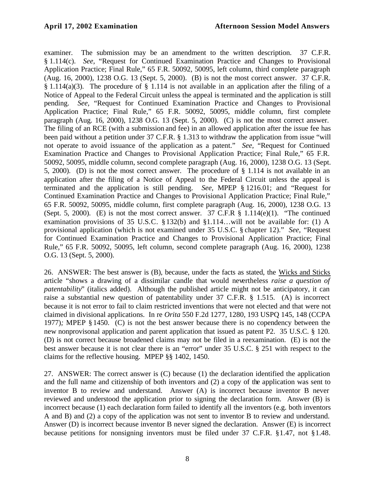examiner. The submission may be an amendment to the written description. 37 C.F.R. § 1.114(c). *See,* "Request for Continued Examination Practice and Changes to Provisional Application Practice; Final Rule," 65 F.R. 50092, 50095, left column, third complete paragraph (Aug. 16, 2000), 1238 O.G. 13 (Sept. 5, 2000). (B) is not the most correct answer. 37 C.F.R. § 1.114(a)(3). The procedure of § 1.114 is not available in an application after the filing of a Notice of Appeal to the Federal Circuit unless the appeal is terminated and the application is still pending. *See,* "Request for Continued Examination Practice and Changes to Provisional Application Practice; Final Rule," 65 F.R. 50092, 50095, middle column, first complete paragraph (Aug. 16, 2000), 1238 O.G. 13 (Sept. 5, 2000). (C) is not the most correct answer. The filing of an RCE (with a submission and fee) in an allowed application after the issue fee has been paid without a petition under 37 C.F.R. § 1.313 to withdraw the application from issue "will not operate to avoid issuance of the application as a patent." *See,* "Request for Continued Examination Practice and Changes to Provisional Application Practice; Final Rule," 65 F.R. 50092, 50095, middle column, second complete paragraph (Aug. 16, 2000), 1238 O.G. 13 (Sept. 5, 2000). (D) is not the most correct answer. The procedure of § 1.114 is not available in an application after the filing of a Notice of Appeal to the Federal Circuit unless the appeal is terminated and the application is still pending. *See,* MPEP § 1216.01; and "Request for Continued Examination Practice and Changes to Provisional Application Practice; Final Rule," 65 F.R. 50092, 50095, middle column, first complete paragraph (Aug. 16, 2000), 1238 O.G. 13 (Sept. 5, 2000). (E) is not the most correct answer. 37 C.F.R  $\S$  1.114(e)(1). "The continued examination provisions of 35 U.S.C. §132(b) and §1.114…will not be available for: (1) A provisional application (which is not examined under 35 U.S.C. § chapter 12)." *See,* "Request for Continued Examination Practice and Changes to Provisional Application Practice; Final Rule," 65 F.R. 50092, 50095, left column, second complete paragraph (Aug. 16, 2000), 1238 O.G. 13 (Sept. 5, 2000).

26. ANSWER: The best answer is (B), because, under the facts as stated, the Wicks and Sticks article "shows a drawing of a dissimilar candle that would nevertheless *raise a question of patentability*" (italics added). Although the published article might not be anticipatory, it can raise a substantial new question of patentability under 37 C.F.R. § 1.515. (A) is incorrect because it is not error to fail to claim restricted inventions that were not elected and that were not claimed in divisional applications. In re *Orita* 550 F.2d 1277, 1280, 193 USPQ 145, 148 (CCPA 1977)*;* MPEP § 1450. (C) is not the best answer because there is no copendency between the new nonprovisonal application and parent application that issued as patent P2. 35 U.S.C. § 120. (D) is not correct because broadened claims may not be filed in a reexamination. (E) is not the best answer because it is not clear there is an "error" under 35 U.S.C. § 251 with respect to the claims for the reflective housing. MPEP §§ 1402, 1450.

27. ANSWER: The correct answer is (C) because (1) the declaration identified the application and the full name and citizenship of both inventors and (2) a copy of the application was sent to inventor B to review and understand. Answer (A) is incorrect because inventor B never reviewed and understood the application prior to signing the declaration form. Answer (B) is incorrect because (1) each declaration form failed to identify all the inventors (e.g. both inventors A and B) and (2) a copy of the application was not sent to inventor B to review and understand. Answer (D) is incorrect because inventor B never signed the declaration. Answer (E) is incorrect because petitions for nonsigning inventors must be filed under 37 C.F.R. §1.47, not §1.48.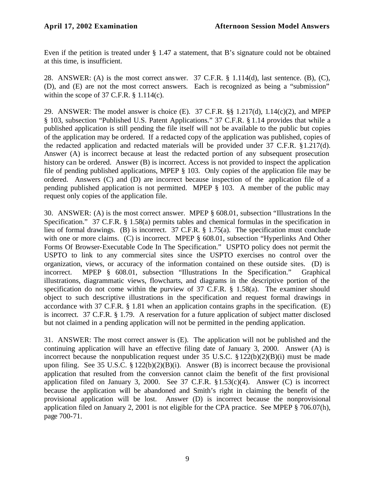Even if the petition is treated under § 1.47 a statement, that B's signature could not be obtained at this time, is insufficient.

28. ANSWER: (A) is the most correct answer. 37 C.F.R. § 1.114(d), last sentence. (B), (C), (D), and (E) are not the most correct answers. Each is recognized as being a "submission" within the scope of 37 C.F.R. § 1.114(c).

29. ANSWER: The model answer is choice (E). 37 C.F.R. §§ 1.217(d), 1.14(c)(2), and MPEP § 103, subsection "Published U.S. Patent Applications." 37 C.F.R. § 1.14 provides that while a published application is still pending the file itself will not be available to the public but copies of the application may be ordered. If a redacted copy of the application was published, copies of the redacted application and redacted materials will be provided under 37 C.F.R. §1.217(d). Answer (A) is incorrect because at least the redacted portion of any subsequent prosecution history can be ordered. Answer (B) is incorrect. Access is not provided to inspect the application file of pending published applications, MPEP § 103. Only copies of the application file may be ordered. Answers (C) and (D) are incorrect because inspection of the application file of a pending published application is not permitted. MPEP § 103. A member of the public may request only copies of the application file.

30. ANSWER: (A) is the most correct answer. MPEP § 608.01, subsection "Illustrations In the Specification." 37 C.F.R. § 1.58(a) permits tables and chemical formulas in the specification in lieu of formal drawings. (B) is incorrect. 37 C.F.R. § 1.75(a). The specification must conclude with one or more claims. (C) is incorrect. MPEP § 608.01, subsection "Hyperlinks And Other Forms Of Browser-Executable Code In The Specification." USPTO policy does not permit the USPTO to link to any commercial sites since the USPTO exercises no control over the organization, views, or accuracy of the information contained on these outside sites. (D) is incorrect. MPEP § 608.01, subsection "Illustrations In the Specification." Graphical illustrations, diagrammatic views, flowcharts, and diagrams in the descriptive portion of the specification do not come within the purview of 37 C.F.R. § 1.58(a). The examiner should object to such descriptive illustrations in the specification and request formal drawings in accordance with 37 C.F.R. § 1.81 when an application contains graphs in the specification. (E) is incorrect. 37 C.F.R. § 1.79. A reservation for a future application of subject matter disclosed but not claimed in a pending application will not be permitted in the pending application.

31. ANSWER: The most correct answer is (E). The application will not be published and the continuing application will have an effective filing date of January 3, 2000. Answer (A) is incorrect because the nonpublication request under 35 U.S.C.  $\S 122(b)(2)(B)(i)$  must be made upon filing. See 35 U.S.C.  $\S 122(b)(2)(B)(i)$ . Answer (B) is incorrect because the provisional application that resulted from the conversion cannot claim the benefit of the first provisional application filed on January 3, 2000. See 37 C.F.R. §1.53(c)(4). Answer (C) is incorrect because the application will be abandoned and Smith's right in claiming the benefit of the provisional application will be lost. Answer (D) is incorrect because the nonprovisional application filed on January 2, 2001 is not eligible for the CPA practice. See MPEP § 706.07(h), page 700-71.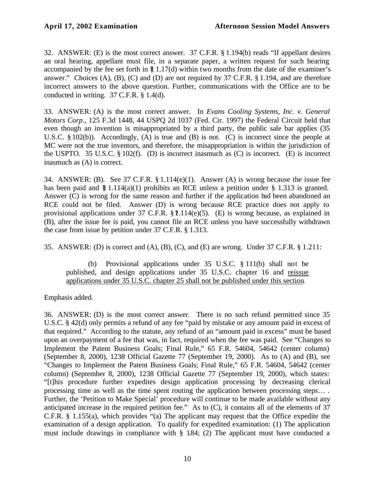32. ANSWER: (E) is the most correct answer. 37 C.F.R. § 1.194(b) reads "If appellant desires an oral hearing, appellant must file, in a separate paper, a written request for such hearing accompanied by the fee set forth in  $\S$  1.17(d) within two months from the date of the examiner's answer." Choices (A), (B), (C) and (D) are not required by 37 C.F.R. § 1.194, and are therefore incorrect answers to the above question. Further, communications with the Office are to be conducted in writing. 37 C.F.R. § 1.4(d).

33. ANSWER: (A) is the most correct answer. In *Evans Cooling Systems, Inc. v. General Motors Corp*., 125 F.3d 1448, 44 USPQ 2d 1037 (Fed. Cir. 1997) the Federal Circuit held that even though an invention is misappropriated by a third party, the public sale bar applies (35 U.S.C. § 102(b)). Accordingly, (A) is true and (B) is not. (C) is incorrect since the people at MC were not the true inventors, and therefore, the misappropriation is within the jurisdiction of the USPTO. 35 U.S.C. § 102(f). (D) is incorrect inasmuch as (C) is incorrect. (E) is incorrect inasmuch as (A) is correct.

34. ANSWER: (B). See 37 C.F.R. § 1.114(e)(1). Answer (A) is wrong because the issue fee has been paid and  $\S 1.114(a)(1)$  prohibits an RCE unless a petition under  $\S 1.313$  is granted. Answer (C) is wrong for the same reason and further if the application had been abandoned an RCE could not be filed. Answer (D) is wrong because RCE practice does not apply to provisional applications under 37 C.F.R.  $$$  ?.114(e)(5). (E) is wrong because, as explained in (B), after the issue fee is paid, you cannot file an RCE unless you have successfully withdrawn the case from issue by petition under 37 C.F.R. § 1.313.

35. ANSWER: (D) is correct and (A), (B), (C), and (E) are wrong. Under 37 C.F.R. § 1.211:

(b) Provisional applications under 35 U.S.C. § 111(b) shall not be published, and design applications under 35 U.S.C. chapter 16 and reissue applications under 35 U.S.C. chapter 25 shall not be published under this section.

Emphasis added.

36. ANSWER: (D) is the most correct answer. There is no such refund permitted since 35 U.S.C. § 42(d) only permits a refund of any fee "paid by mistake or any amount paid in excess of that required." According to the statute, any refund of an "amount paid in excess" must be based upon an overpayment of a fee that was, in fact, required when the fee was paid. See "Changes to Implement the Patent Business Goals; Final Rule," 65 F.R. 54604, 54642 (center column) (September 8, 2000), 1238 Official Gazette 77 (September 19, 2000). As to (A) and (B), see "Changes to Implement the Patent Business Goals; Final Rule," 65 F.R. 54604, 54642 (center column) (September 8, 2000), 1238 Official Gazette 77 (September 19, 2000), which states: "[t]his procedure further expedites design application processing by decreasing clerical processing time as well as the time spent routing the application between processing steps… . Further, the 'Petition to Make Special' procedure will continue to be made available without any anticipated increase in the required petition fee." As to (C), it contains all of the elements of 37 C.F.R. § 1.155(a), which provides "(a) The applicant may request that the Office expedite the examination of a design application. To qualify for expedited examination: (1) The application must include drawings in compliance with § 1.84; (2) The applicant must have conducted a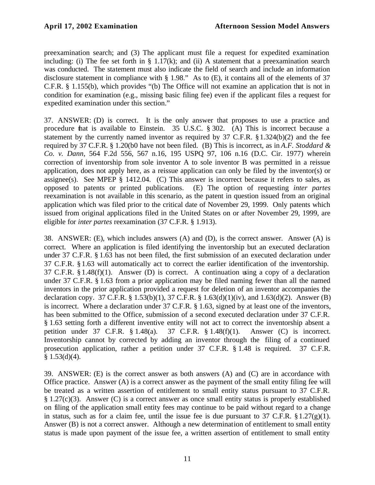preexamination search; and (3) The applicant must file a request for expedited examination including: (i) The fee set forth in  $\S$  1.17(k); and (ii) A statement that a preexamination search was conducted. The statement must also indicate the field of search and include an information disclosure statement in compliance with § 1.98." As to (E), it contains all of the elements of 37 C.F.R. § 1.155(b), which provides "(b) The Office will not examine an application that is not in condition for examination (e.g., missing basic filing fee) even if the applicant files a request for expedited examination under this section."

37. ANSWER: (D) is correct. It is the only answer that proposes to use a practice and procedure that is available to Einstein. 35 U.S.C. § 302. (A) This is incorrect because a statement by the currently named inventor as required by 37 C.F.R. § 1.324(b)(2) and the fee required by 37 C.F.R. § 1.20(b0 have not been filed. (B) This is incorrect, as in *A.F. Stoddard & Co. v. Dann*, 564 F.2d 556, 567 n.16, 195 USPQ 97, 106 n.16 (D.C. Cir. 1977) wherein correction of inventorship from sole inventor A to sole inventor B was permitted in a reissue application, does not apply here, as a reissue application can only be filed by the inventor(s) or assignee(s). See MPEP § 1412.04. (C) This answer is incorrect because it refers to sales, as opposed to patents or printed publications. (E) The option of requesting *inter partes* reexamination is not available in this scenario, as the patent in question issued from an original application which was filed prior to the critical date of November 29, 1999. Only patents which issued from original applications filed in the United States on or after November 29, 1999, are eligible for *inter partes* reexamination (37 C.F.R. § 1.913).

38. ANSWER: (E), which includes answers (A) and (D), is the correct answer. Answer (A) is correct. Where an application is filed identifying the inventorship but an executed declaration under 37 C.F.R. § 1.63 has not been filed, the first submission of an executed declaration under 37 C.F.R. § 1.63 will automatically act to correct the earlier identification of the inventorship. 37 C.F.R. § 1.48(f)(1). Answer (D) is correct. A continuation using a copy of a declaration under 37 C.F.R. § 1.63 from a prior application may be filed naming fewer than all the named inventors in the prior application provided a request for deletion of an inventor accompanies the declaration copy. 37 C.F.R. § 1.53(b)(1), 37 C.F.R. § 1.63(d)(1)(iv), and 1.63(d)(2). Answer (B) is incorrect. Where a declaration under 37 C.F.R. § 1.63, signed by at least one of the inventors, has been submitted to the Office, submission of a second executed declaration under 37 C.F.R. § 1.63 setting forth a different inventive entity will not act to correct the inventorship absent a petition under 37 C.F.R. § 1.48(a). 37 C.F.R. § 1.48(f)(1). Answer (C) is incorrect. Inventorship cannot by corrected by adding an inventor through the filing of a continued prosecution application, rather a petition under 37 C.F.R. § 1.48 is required. 37 C.F.R.  $§ 1.53(d)(4).$ 

39. ANSWER: (E) is the correct answer as both answers (A) and (C) are in accordance with Office practice. Answer (A) is a correct answer as the payment of the small entity filing fee will be treated as a written assertion of entitlement to small entity status pursuant to 37 C.F.R. § 1.27(c)(3). Answer (C) is a correct answer as once small entity status is properly established on filing of the application small entity fees may continue to be paid without regard to a change in status, such as for a claim fee, until the issue fee is due pursuant to 37 C.F.R.  $\S 1.27(g)(1)$ . Answer (B) is not a correct answer. Although a new determination of entitlement to small entity status is made upon payment of the issue fee, a written assertion of entitlement to small entity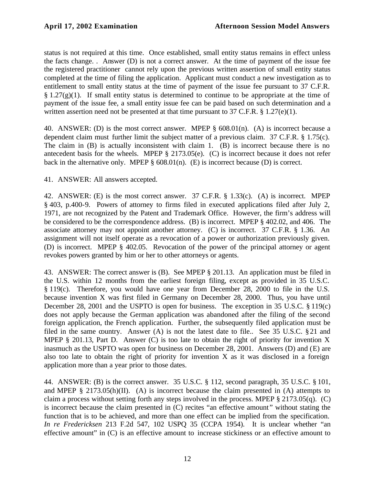status is not required at this time. Once established, small entity status remains in effect unless the facts change. . Answer (D) is not a correct answer. At the time of payment of the issue fee the registered practitioner cannot rely upon the previous written assertion of small entity status completed at the time of filing the application. Applicant must conduct a new investigation as to entitlement to small entity status at the time of payment of the issue fee pursuant to 37 C.F.R.  $§ 1.27(g)(1)$ . If small entity status is determined to continue to be appropriate at the time of payment of the issue fee, a small entity issue fee can be paid based on such determination and a written assertion need not be presented at that time pursuant to 37 C.F.R.  $\S 1.27(e)(1)$ .

40. ANSWER: (D) is the most correct answer. MPEP § 608.01(n). (A) is incorrect because a dependent claim must further limit the subject matter of a previous claim. 37 C.F.R. § 1.75(c). The claim in (B) is actually inconsistent with claim 1. (B) is incorrect because there is no antecedent basis for the wheels. MPEP § 2173.05(e). (C) is incorrect because it does not refer back in the alternative only. MPEP  $\S$  608.01(n). (E) is incorrect because (D) is correct.

41. ANSWER: All answers accepted.

42. ANSWER: (E) is the most correct answer. 37 C.F.R. § 1.33(c). (A) is incorrect. MPEP § 403, p.400-9. Powers of attorney to firms filed in executed applications filed after July 2, 1971, are not recognized by the Patent and Trademark Office. However, the firm's address will be considered to be the correspondence address. (B) is incorrect. MPEP § 402.02, and 406. The associate attorney may not appoint another attorney. (C) is incorrect. 37 C.F.R. § 1.36. An assignment will not itself operate as a revocation of a power or authorization previously given. (D) is incorrect. MPEP § 402.05. Revocation of the power of the principal attorney or agent revokes powers granted by him or her to other attorneys or agents.

43. ANSWER: The correct answer is (B). See MPEP § 201.13. An application must be filed in the U.S. within 12 months from the earliest foreign filing, except as provided in 35 U.S.C. § 119(c). Therefore, you would have one year from December 28, 2000 to file in the U.S. because invention X was first filed in Germany on December 28, 2000. Thus, you have until December 28, 2001 and the USPTO is open for business. The exception in 35 U.S.C. § 119(c) does not apply because the German application was abandoned after the filing of the second foreign application, the French application. Further, the subsequently filed application must be filed in the same country. Answer (A) is not the latest date to file.. See 35 U.S.C. §21 and MPEP  $\S$  201.13, Part D. Answer (C) is too late to obtain the right of priority for invention X inasmuch as the USPTO was open for business on December 28, 2001. Answers (D) and (E) are also too late to obtain the right of priority for invention  $X$  as it was disclosed in a foreign application more than a year prior to those dates.

44. ANSWER: (B) is the correct answer. 35 U.S.C. § 112, second paragraph, 35 U.S.C. § 101, and MPEP  $\S$  2173.05(h)(II). (A) is incorrect because the claim presented in (A) attempts to claim a process without setting forth any steps involved in the process. MPEP § 2173.05(q). (C) is incorrect because the claim presented in (C) recites "an effective amount " without stating the function that is to be achieved, and more than one effect can be implied from the specification. *In re Fredericksen* 213 F.2d 547, 102 USPQ 35 (CCPA 1954). It is unclear whether "an effective amount" in (C) is an effective amount to increase stickiness or an effective amount to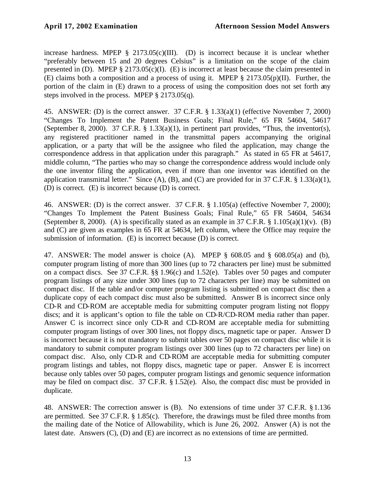increase hardness. MPEP  $\S$  2173.05(c)(III). (D) is incorrect because it is unclear whether "preferably between 15 and 20 degrees Celsius" is a limitation on the scope of the claim presented in (D). MPEP § 2173.05(c)(I). (E) is incorrect at least because the claim presented in (E) claims both a composition and a process of using it. MPEP  $\S 2173.05(p)(II)$ . Further, the portion of the claim in (E) drawn to a process of using the composition does not set forth any steps involved in the process. MPEP § 2173.05(q).

45. ANSWER: (D) is the correct answer. 37 C.F.R. § 1.33(a)(1) (effective November 7, 2000) "Changes To Implement the Patent Business Goals; Final Rule," 65 FR 54604, 54617 (September 8, 2000). 37 C.F.R. § 1.33(a)(1), in pertinent part provides, "Thus, the inventor(s), any registered practitioner named in the transmittal papers accompanying the original application, or a party that will be the assignee who filed the application, may change the correspondence address in that application under this paragraph." As stated in 65 FR at 54617, middle column, "The parties who may so change the correspondence address would include only the one inventor filing the application, even if more than one inventor was identified on the application transmittal letter." Since  $(A)$ ,  $(B)$ , and  $(C)$  are provided for in 37 C.F.R. § 1.33(a)(1), (D) is correct. (E) is incorrect because (D) is correct.

46. ANSWER: (D) is the correct answer. 37 C.F.R. § 1.105(a) (effective November 7, 2000); "Changes To Implement the Patent Business Goals; Final Rule," 65 FR 54604, 54634 (September 8, 2000). (A) is specifically stated as an example in 37 C.F.R.  $\S$  1.105(a)(1)(v). (B) and (C) are given as examples in 65 FR at 54634, left column, where the Office may require the submission of information. (E) is incorrect because (D) is correct.

47. ANSWER: The model answer is choice (A). MPEP § 608.05 and § 608.05(a) and (b), computer program listing of more than 300 lines (up to 72 characters per line) must be submitted on a compact discs. See 37 C.F.R. §§ 1.96(c) and 1.52(e). Tables over 50 pages and computer program listings of any size under 300 lines (up to 72 characters per line) may be submitted on compact disc. If the table and/or computer program listing is submitted on compact disc then a duplicate copy of each compact disc must also be submitted. Answer B is incorrect since only CD-R and CD-ROM are acceptable media for submitting computer program listing not floppy discs; and it is applicant's option to file the table on CD-R/CD-ROM media rather than paper. Answer C is incorrect since only CD-R and CD-ROM are acceptable media for submitting computer program listings of over 300 lines, not floppy discs, magnetic tape or paper. Answer D is incorrect because it is not mandatory to submit tables over 50 pages on compact disc while it is mandatory to submit computer program listings over 300 lines (up to 72 characters per line) on compact disc. Also, only CD-R and CD-ROM are acceptable media for submitting computer program listings and tables, not floppy discs, magnetic tape or paper. Answer E is incorrect because only tables over 50 pages, computer program listings and genomic sequence information may be filed on compact disc. 37 C.F.R. § 1.52(e). Also, the compact disc must be provided in duplicate.

48. ANSWER: The correction answer is (B). No extensions of time under 37 C.F.R. §1.136 are permitted. See 37 C.F.R. § 1.85(c). Therefore, the drawings must be filed three months from the mailing date of the Notice of Allowability, which is June 26, 2002. Answer (A) is not the latest date. Answers (C), (D) and (E) are incorrect as no extensions of time are permitted.